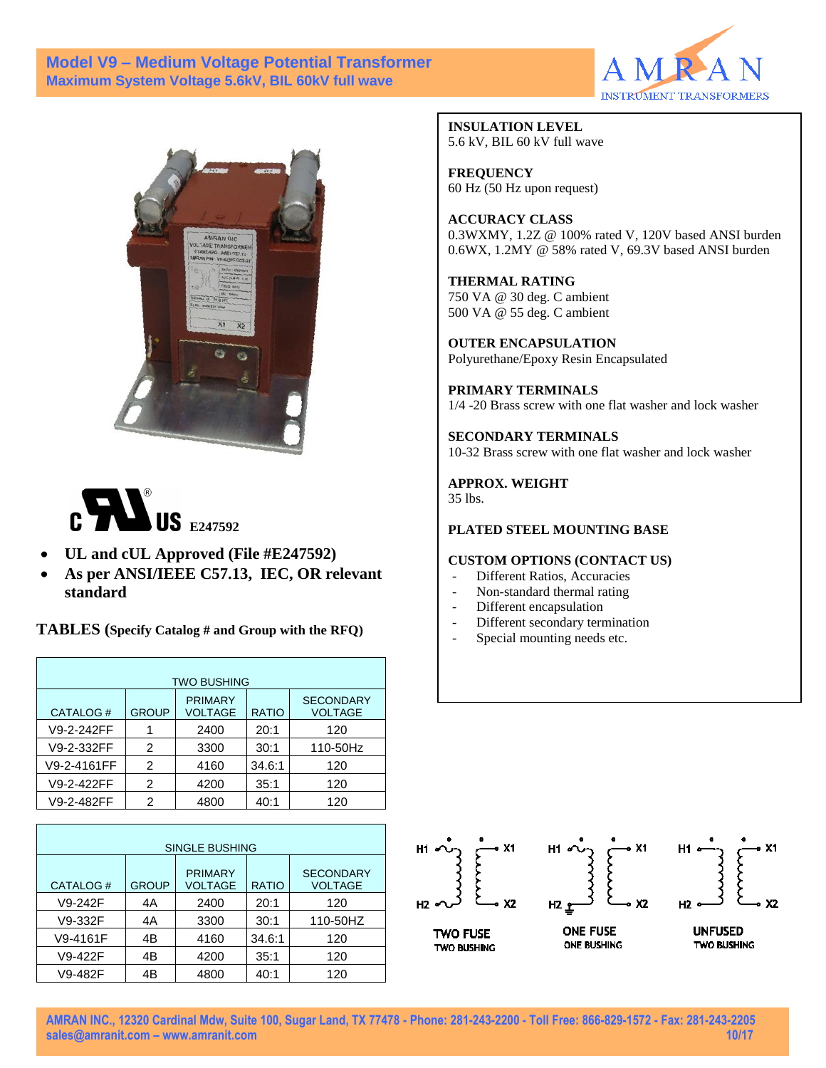### **Model V9 – Medium Voltage Potential Transformer Maximum System Voltage 5.6kV, BIL 60kV full wave**







- **UL and cUL Approved (File #E247592)**
- **As per ANSI/IEEE C57.13, IEC, OR relevant standard**

**TABLES (Specify Catalog # and Group with the RFQ)**

| <b>TWO BUSHING</b> |              |                           |              |                                    |  |  |  |
|--------------------|--------------|---------------------------|--------------|------------------------------------|--|--|--|
| CATALOG#           | <b>GROUP</b> | <b>PRIMARY</b><br>VOLTAGE | <b>RATIO</b> | <b>SECONDARY</b><br><b>VOLTAGE</b> |  |  |  |
| V9-2-242FF         | 1            | 2400                      | 20:1         | 120                                |  |  |  |
| V9-2-332FF         | 2            | 3300                      | 30:1         | 110-50Hz                           |  |  |  |
| V9-2-4161FF        | 2            | 4160                      | 34.6:1       | 120                                |  |  |  |
| V9-2-422FF         | 2            | 4200                      | 35:1         | 120                                |  |  |  |
| V9-2-482FF         | 2            | 4800                      | 40:1         | 120                                |  |  |  |

| <b>SINGLE BUSHING</b> |              |                                  |              |                             |  |  |  |
|-----------------------|--------------|----------------------------------|--------------|-----------------------------|--|--|--|
| CATALOG#              | <b>GROUP</b> | <b>PRIMARY</b><br><b>VOLTAGE</b> | <b>RATIO</b> | <b>SECONDARY</b><br>VOLTAGE |  |  |  |
| V9-242F               | 4A           | 2400                             | 20:1         | 120                         |  |  |  |
| V9-332F               | 4A           | 3300                             | 30:1         | 110-50HZ                    |  |  |  |
| V9-4161F              | 4B           | 4160                             | 34.6:1       | 120                         |  |  |  |
| V9-422F               | 4B           | 4200                             | 35:1         | 120                         |  |  |  |
| V9-482F               | 4B           | 4800                             | 40:1         | 120                         |  |  |  |

**INSULATION LEVEL** 5.6 kV, BIL 60 kV full wave

**FREQUENCY** 60 Hz (50 Hz upon request)

**ACCURACY CLASS** 0.3WXMY, 1.2Z @ 100% rated V, 120V based ANSI burden 0.6WX, 1.2MY @ 58% rated V, 69.3V based ANSI burden

**THERMAL RATING** 750 VA @ 30 deg. C ambient 500 VA @ 55 deg. C ambient

**OUTER ENCAPSULATION** Polyurethane/Epoxy Resin Encapsulated

**PRIMARY TERMINALS**  1/4 -20 Brass screw with one flat washer and lock washer

**SECONDARY TERMINALS**  10-32 Brass screw with one flat washer and lock washer

**APPROX. WEIGHT**

35 lbs.

#### **PLATED STEEL MOUNTING BASE**

#### **CUSTOM OPTIONS (CONTACT US)**

- Different Ratios, Accuracies
- Non-standard thermal rating
- Different encapsulation
- Different secondary termination
- Special mounting needs etc.



**AMRAN INC., 12320 Cardinal Mdw, Suite 100, Sugar Land, TX 77478 - Phone: 281-243-2200 - Toll Free: 866-829-1572 - Fax: 281-243-2205 [sales@amranit.com](mailto:sales@amranit.com) – www.amranit.com 10/17**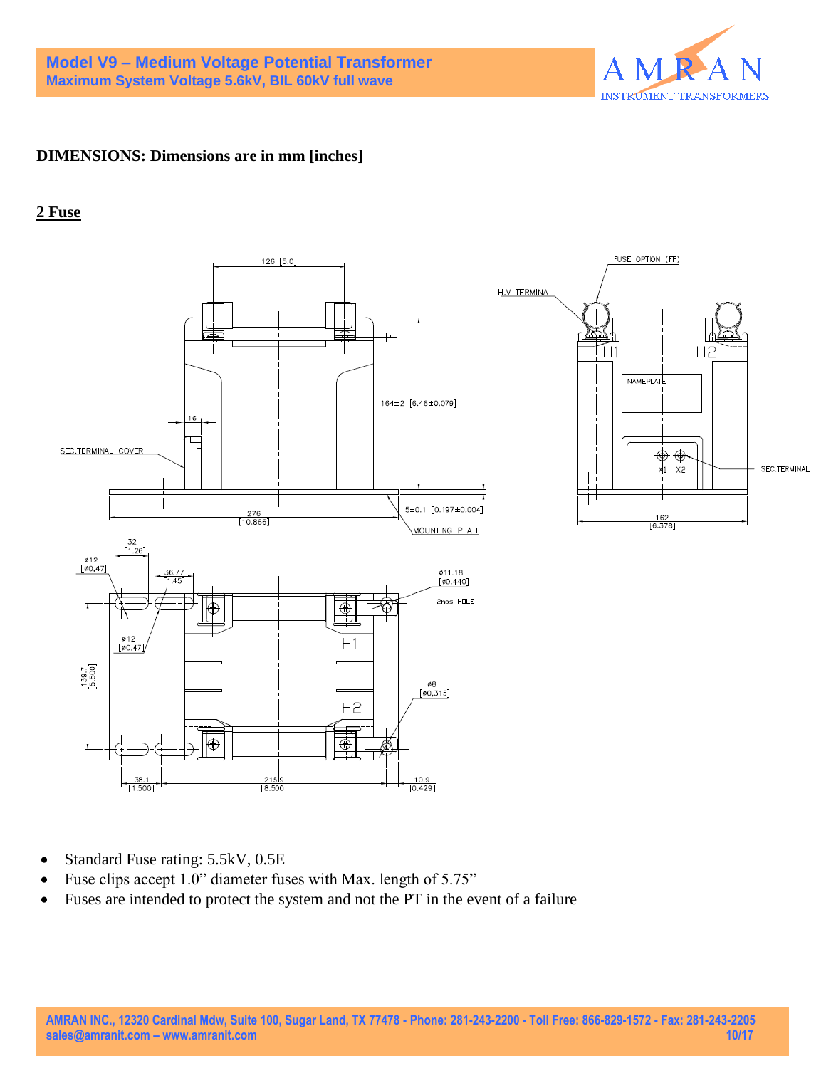

## **DIMENSIONS: Dimensions are in mm [inches]**

### **2 Fuse**



- Standard Fuse rating: 5.5kV, 0.5E
- Fuse clips accept 1.0" diameter fuses with Max. length of 5.75"
- Fuses are intended to protect the system and not the PT in the event of a failure